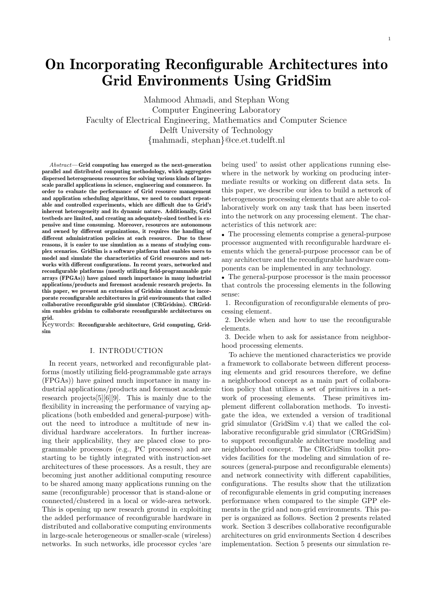Mahmood Ahmadi, and Stephan Wong Computer Engineering Laboratory Faculty of Electrical Engineering, Mathematics and Computer Science Delft University of Technology {mahmadi, stephan}@ce.et.tudelft.nl

Abstract— Grid computing has emerged as the next-generation parallel and distributed computing methodology, which aggregates dispersed heterogeneous resources for solving various kinds of largescale parallel applications in science, engineering and commerce. In order to evaluate the performance of Grid resource management and application scheduling algorithms, we need to conduct repeatable and controlled experiments, which are difficult due to Grid's inherent heterogeneity and its dynamic nature. Additionally, Grid testbeds are limited, and creating an adequately-sized testbed is expensive and time consuming. Moreover, resources are autonomous and owned by different organizations, it requires the handling of different administration policies at each resource. Due to these reasons, it is easier to use simulation as a means of studying complex scenarios. GridSim is a software platform that enables users to model and simulate the characteristics of Grid resources and networks with different configurations. In recent years, networked and reconfigurable platforms (mostly utilizing field-programmable gate arrays (FPGAs)) have gained much importance in many industrial applications/products and foremost academic research projects. In this paper, we present an extension of Gridsim simulator to incorporate reconfigurable architectures in grid environments that called collaborative reconfigurable grid simulator (CRGridsim). CRGridsim enables gridsim to collaborate reconfigurable architectures on grid.

Keywords: Reconfigurable architecture, Grid computing, Gridsim

### I. INTRODUCTION

In recent years, networked and reconfigurable platforms (mostly utilizing field-programmable gate arrays (FPGAs)) have gained much importance in many industrial applications/products and foremost academic research projects[5][6][9]. This is mainly due to the flexibility in increasing the performance of varying applications (both embedded and general-purpose) without the need to introduce a multitude of new individual hardware accelerators. In further increasing their applicability, they are placed close to programmable processors (e.g., PC processors) and are starting to be tightly integrated with instruction-set architectures of these processors. As a result, they are becoming just another additional computing resource to be shared among many applications running on the same (reconfigurable) processor that is stand-alone or connected/clustered in a local or wide-area network. This is opening up new research ground in exploiting the added performance of reconfigurable hardware in distributed and collaborative computing environments in large-scale heterogeneous or smaller-scale (wireless) networks. In such networks, idle processor cycles 'are being used' to assist other applications running elsewhere in the network by working on producing intermediate results or working on different data sets. In this paper, we describe our idea to build a network of heterogeneous processing elements that are able to collaboratively work on any task that has been inserted into the network on any processing element. The characteristics of this network are:

• The processing elements comprise a general-purpose processor augmented with reconfigurable hardware elements which the general-purpose processor can be of any architecture and the reconfigurable hardware components can be implemented in any technology.

• The general-purpose processor is the main processor that controls the processing elements in the following sense:

1. Reconfiguration of reconfigurable elements of processing element.

2. Decide when and how to use the reconfigurable elements.

3. Decide when to ask for assistance from neighborhood processing elements.

To achieve the mentioned characteristics we provide a framework to collaborate between different processing elements and grid resources therefore, we define a neighborhood concept as a main part of collaboration policy that utilizes a set of primitives in a network of processing elements. These primitives implement different collaboration methods. To investigate the idea, we extended a version of traditional grid simulator (GridSim v.4) that we called the collaborative reconfigurable grid simulator (CRGridSim) to support reconfigurable architecture modeling and neighborhood concept. The CRGridSim toolkit provides facilities for the modeling and simulation of resources (general-purpose and reconfigurable elements) and network connectivity with different capabilities, configurations. The results show that the utilization of reconfigurable elements in grid computing increases performance when compared to the simple GPP elements in the grid and non-grid environments. This paper is organized as follows. Section 2 presents related work. Section 3 describes collaborative reconfigurable architectures on grid environments Section 4 describes implementation. Section 5 presents our simulation re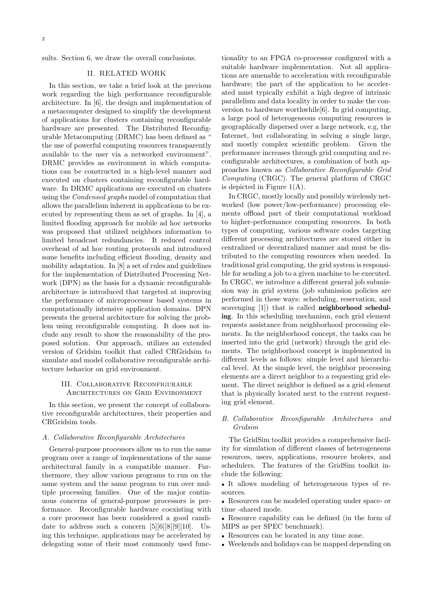sults. Section 6, we draw the overall conclusions.

## II. RELATED WORK

In this section, we take a brief look at the previous work regarding the high performance reconfigurable architecture. In [6], the design and implementation of a metacomputer designed to simplify the development of applications for clusters containing reconfigurable hardware are presented. The Distributed Reconfigurable Metacomputing (DRMC) has been defined as " the use of powerful computing resources transparently available to the user via a networked environment". DRMC provides as environment in which computations can be constructed in a high-level manner and executed on clusters containing reconfigurable hardware. In DRMC applications are executed on clusters using the Condensed graphs model of computation that allows the parallelism inherent in applications to be executed by representing them as set of graphs. In [4], a limited flooding approach for mobile ad hoc networks was proposed that utilized neighbors information to limited broadcast redundancies. It reduced control overhead of ad hoc routing protocols and introduced some benefits including efficient flooding, density and mobility adaptation. In [8] a set of rules and guidelines for the implementation of Distributed Processing Network (DPN) as the basis for a dynamic reconfigurable architecture is introduced that targeted at improving the performance of microprocessor based systems in computationally intensive application domains. DPN presents the general architecture for solving the problem using reconfigurable computing. It does not include any result to show the reasonability of the proposed solution. Our approach, utilizes an extended version of Gridsim toolkit that called CRGridsim to simulate and model collaborative reconfigurable architecture behavior on grid environment.

## III. Collaborative Reconfigurable Architectures on Grid Environment

In this section, we present the concept of collaborative reconfigurable architectures, their properties and CRGridsim tools.

### A. Collaborative Reconfigurable Architectures

General-purpose processors allow us to run the same program over a range of implementations of the same architectural family in a compatible manner. Furthermore, they allow various programs to run on the same system and the same program to run over multiple processing families. One of the major continuous concerns of general-purpose processors is performance. Reconfigurable hardware coexisting with a core processor has been considered a good candidate to address such a concern  $[5][6][8][9][10]$ . Using this technique, applications may be accelerated by delegating some of their most commonly used functionality to an FPGA co-processor configured with a suitable hardware implementation. Not all applications are amenable to acceleration with reconfigurable hardware; the part of the application to be accelerated must typically exhibit a high degree of intrinsic parallelism and data locality in order to make the conversion to hardware worthwhile[6]. In grid computing, a large pool of heterogeneous computing resources is geographically dispersed over a large network, e.g, the Internet, but collaborating in solving a single large, and mostly complex scientific problem. Given the performance increases through grid computing and reconfigurable architectures, a combination of both approaches known as Collaborative Reconfigurable Grid Computing (CRGC). The general platform of CRGC is depicted in Figure  $1(A)$ .

In CRGC, mostly locally and possibly wirelessly networked (low power/low-performance) processing elements offload part of their computational workload to higher-performance computing resources. In both types of computing, various software codes targeting different processing architectures are stored either in centralized or decentralized manner and must be distributed to the computing resources when needed. In traditional grid computing, the grid system is responsible for sending a job to a given machine to be executed. In CRGC, we introduce a different general job submission way in grid system (job submission policies are performed in these ways: scheduling, reservation, and scavenging [1]) that is called neighborhood scheduling. In this scheduling mechanism, each grid element requests assistance from neighborhood processing elements. In the neighborhood concept, the tasks can be inserted into the grid (network) through the grid elements. The neighborhood concept is implemented in different levels as follows: simple level and hierarchical level. At the simple level, the neighbor processing elements are a direct neighbor to a requesting grid element. The direct neighbor is defined as a grid element that is physically located next to the current requesting grid element.

# B. Collaborative Reconfigurable Architectures and Gridsim

The GridSim toolkit provides a comprehensive facility for simulation of different classes of heterogeneous resources, users, applications, resource brokers, and schedulers. The features of the GridSim toolkit include the following:

• It allows modeling of heterogeneous types of resources.

• Resources can be modeled operating under space- or time -shared mode.

• Resource capability can be defined (in the form of MIPS as per SPEC benchmark).

- Resources can be located in any time zone.
- Weekends and holidays can be mapped depending on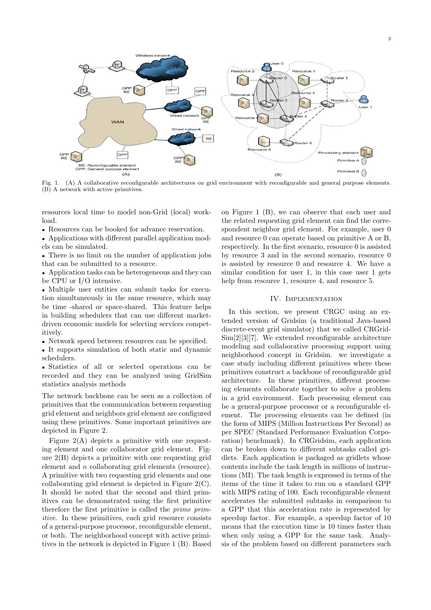

Fig. 1. (A) A collaborative reconfigurable architectures on grid environment with reconfigurable and general purpose elements. (B) A network with active primitives.

resources local time to model non-Grid (local) workload.

• Resources can be booked for advance reservation.

• Applications with different parallel application models can be simulated.

• There is no limit on the number of application jobs that can be submitted to a resource.

• Application tasks can be heterogeneous and they can be CPU or I/O intensive.

• Multiple user entities can submit tasks for execution simultaneously in the same resource, which may be time -shared or space-shared. This feature helps in building schedulers that can use different marketdriven economic models for selecting services competitively.

• Network speed between resources can be specified.

• It supports simulation of both static and dynamic schedulers.

• Statistics of all or selected operations can be recorded and they can be analyzed using GridSim statistics analysis methods

The network backbone can be seen as a collection of primitives that the communication between requesting grid element and neighbors grid element are configured using these primitives. Some important primitives are depicted in Figure 2.

Figure  $2(A)$  depicts a primitive with one requesting element and one collaborator grid element. Figure 2(B) depicts a primitive with one requesting grid element and n collaborating grid elements (resource). A primitive with two requesting grid elements and one collaborating grid element is depicted in Figure 2(C). It should be noted that the second and third primitives can be demonstrated using the first primitive therefore the first primitive is called the prime primitive. In these primitives, each grid resource consists of a general-purpose processor, reconfigurable element, or both. The neighborhood concept with active primitives in the network is depicted in Figure 1 (B). Based

on Figure 1 (B), we can observe that each user and the related requesting grid element can find the correspondent neighbor grid element. For example, user 0 and resource 0 can operate based on primitive A or B, respectively. In the first scenario, resource 0 is assisted by resource 3 and in the second scenario, resource 0 is assisted by resource 0 and resource 4. We have a similar condition for user 1, in this case user 1 gets help from resource 1, resource 4, and resource 5.

### IV. Implementation

In this section, we present CRGC using an extended version of Gridsim (a traditional Java-based discrete-event grid simulator) that we called CRGrid-Sim[2][3][7]. We extended reconfigurable architecture modeling and collaborative processing support using neighborhood concept in Gridsim. we investigate a case study including different primitives where these primitives construct a backbone of reconfigurable grid architecture. In these primitives, different processing elements collaborate together to solve a problem in a grid environment. Each processing element can be a general-purpose processor or a reconfigurable element. The processing elements can be defined (in the form of MIPS (Million Instructions Per Second) as per SPEC (Standard Performance Evaluation Corporation) benchmark). In CRGridsim, each application can be broken down to different subtasks called gridlets. Each application is packaged as gridlets whose contents include the task length in millions of instructions (MI). The task length is expressed in terms of the items of the time it takes to run on a standard GPP with MIPS rating of 100. Each reconfigurable element accelerates the submitted subtasks in comparison to a GPP that this acceleration rate is represented by speedup factor. For example, a speedup factor of 10 means that the execution time is 10 times faster than when only using a GPP for the same task. Analysis of the problem based on different parameters such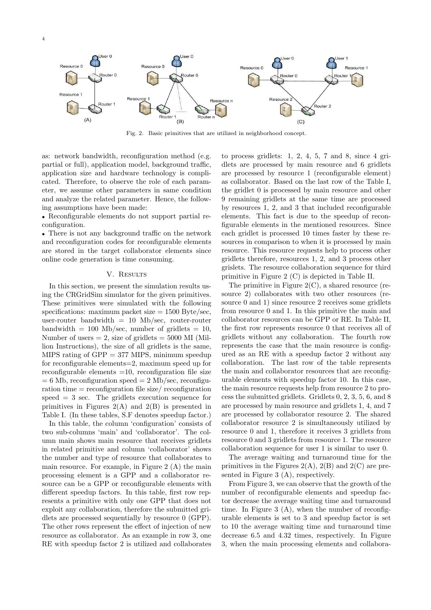

Fig. 2. Basic primitives that are utilized in neighborhood concept.

as: network bandwidth, reconfiguration method (e.g. partial or full), application model, background traffic, application size and hardware technology is complicated. Therefore, to observe the role of each parameter, we assume other parameters in same condition and analyze the related parameter. Hence, the following assumptions have been made:

• Reconfigurable elements do not support partial reconfiguration.

• There is not any background traffic on the network and reconfiguration codes for reconfigurable elements are stored in the target collaborator elements since online code generation is time consuming.

#### V. RESULTS

In this section, we present the simulation results using the CRGridSim simulator for the given primitives. These primitives were simulated with the following specifications: maximum packet size  $= 1500$  Byte/sec, user-router bandwidth  $= 10$  Mb/sec, router-router bandwidth = 100 Mb/sec, number of gridlets = 10, Number of users  $= 2$ , size of gridlets  $= 5000$  MI (Million Instructions), the size of all gridlets is the same, MIPS rating of  $GPP = 377$  MIPS, minimum speedup for reconfigurable elements=2, maximum speed up for reconfigurable elements  $=10$ , reconfiguration file size  $= 6$  Mb, reconfiguration speed  $= 2$  Mb/sec, reconfiguration time = reconfiguration file size/ reconfiguration speed = 3 sec. The gridlets execution sequence for primitives in Figures  $2(A)$  and  $2(B)$  is presented in Table I. (In these tables, S.F denotes speedup factor.)

In this table, the column 'configuration' consists of two sub-columns 'main' and 'collaborator'. The column main shows main resource that receives gridlets in related primitive and column 'collaborator' shows the number and type of resource that collaborates to main resource. For example, in Figure 2 (A) the main processing element is a GPP and a collaborator resource can be a GPP or reconfigurable elements with different speedup factors. In this table, first row represents a primitive with only one GPP that does not exploit any collaboration, therefore the submitted gridlets are processed sequentially by resource 0 (GPP). The other rows represent the effect of injection of new resource as collaborator. As an example in row 3, one RE with speedup factor 2 is utilized and collaborates

to process gridlets:  $1, 2, 4, 5, 7$  and  $8$ , since  $4$  gridlets are processed by main resource and 6 gridlets are processed by resource 1 (reconfigurable element) as collaborator. Based on the last row of the Table I, the gridlet 0 is processed by main resource and other 9 remaining gridlets at the same time are processed by resources 1, 2, and 3 that included reconfigurable elements. This fact is due to the speedup of reconfigurable elements in the mentioned resources. Since each gridlet is processed 10 times faster by these resources in comparison to when it is processed by main resource. This resource requests help to process other gridlets therefore, resources 1, 2, and 3 process other grislets. The resource collaboration sequence for third primitive in Figure 2 (C) is depicted in Table II.

The primitive in Figure 2(C), a shared resource (resource 2) collaborates with two other resources (resource 0 and 1) since resource 2 receives some gridlets from resource 0 and 1. In this primitive the main and collaborator resources can be GPP or RE. In Table II, the first row represents resource 0 that receives all of gridlets without any collaboration. The fourth row represents the case that the main resource is configured as an RE with a speedup factor 2 without any collaboration. The last row of the table represents the main and collaborator resources that are reconfigurable elements with speedup factor 10. In this case, the main resource requests help from resource 2 to process the submitted gridlets. Gridlets 0, 2, 3, 5, 6, and 8 are processed by main resource and gridlets 1, 4, and 7 are processed by collaborator resource 2. The shared collaborator resource 2 is simultaneously utilized by resource 0 and 1, therefore it receives 3 gridlets from resource 0 and 3 gridlets from resource 1. The resource collaboration sequence for user 1 is similar to user 0.

The average waiting and turnaround time for the primitives in the Figures  $2(A)$ ,  $2(B)$  and  $2(C)$  are presented in Figure 3 (A), respectively.

From Figure 3, we can observe that the growth of the number of reconfigurable elements and speedup factor decrease the average waiting time and turnaround time. In Figure 3 (A), when the number of reconfigurable elements is set to 3 and speedup factor is set to 10 the average waiting time and turnaround time decrease 6.5 and 4.32 times, respectively. In Figure 3, when the main processing elements and collabora-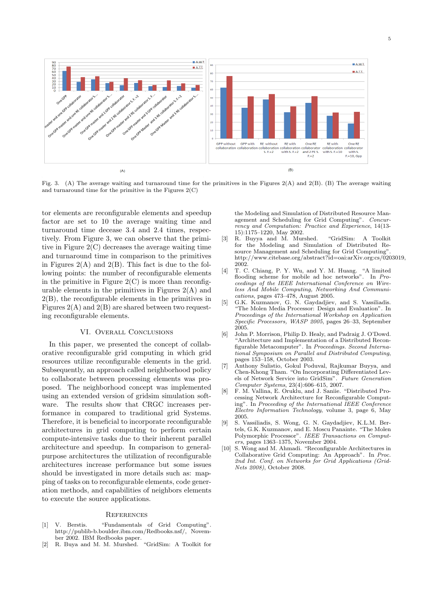

Fig. 3. (A) The average waiting and turnaround time for the primitives in the Figures 2(A) and 2(B). (B) The average waiting and turnaround time for the primitive in the Figures  $2(C)$ 

tor elements are reconfigurable elements and speedup factor are set to 10 the average waiting time and turnaround time decease 3.4 and 2.4 times, respectively. From Figure 3, we can observe that the primitive in Figure 2(C) decreases the average waiting time and turnaround time in comparison to the primitives in Figures  $2(A)$  and  $2(B)$ . This fact is due to the following points: the number of reconfigurable elements in the primitive in Figure  $2(C)$  is more than reconfigurable elements in the primitives in Figures 2(A) and 2(B), the reconfigurable elements in the primitives in Figures  $2(A)$  and  $2(B)$  are shared between two requesting reconfigurable elements.

# VI. Overall Conclusions

In this paper, we presented the concept of collaborative reconfigurable grid computing in which grid resources utilize reconfigurable elements in the grid. Subsequently, an approach called neighborhood policy to collaborate between processing elements was proposed. The neighborhood concept was implemented using an extended version of gridsim simulation software. The results show that CRGC increases performance in compared to traditional grid Systems. Therefore, it is beneficial to incorporate reconfigurable architectures in grid computing to perform certain compute-intensive tasks due to their inherent parallel architecture and speedup. In comparison to generalpurpose architectures the utilization of reconfigurable architectures increase performance but some issues should be investigated in more details such as: mapping of tasks on to reconfigurable elements, code generation methods, and capabilities of neighbors elements to execute the source applications.

#### **REFERENCES**

- [1] V. Berstis. "Fundamentals of Grid Computing". http://publib-b.boulder.ibm.com/Redbooks.nsf/, November 2002. IBM Redbooks paper.
- [2] R. Buya and M. M. Murshed. "GridSim: A Toolkit for

the Modeling and Simulation of Distributed Resource Management and Scheduling for Grid Computing". Concurrency and Computation: Practice and Experience, 14(13- 15):1175–1220, May 2002.

- [3] R. Buyya and M. Murshed. "GridSim: A Toolkit for the Modeling and Simulation of Distributed Resource Management and Scheduling for Grid Computing". http://www.citebase.org/abstract?id=oai:arXiv.org:cs/0203019, 2002.
- [4] T. C. Chiang, P. Y. Wu, and Y. M. Huang. "A limited flooding scheme for mobile ad hoc networks". In *Pro*ceedings of the IEEE International Conference on Wireless And Mobile Computing, Networking And Communications, pages 473–478, August 2005.
- [5] G.K. Kuzmanov, G. N. Gaydadjiev, and S. Vassiliadis. "The Molen Media Processor: Design and Evaluation". In Proceedings of the International Workshop on Application Specific Processors, WASP 2005, pages 26–33, September 2005.
- [6] John P. Morrison, Philip D. Healy, and Padraig J. O'Dowd. "Architecture and Implementation of a Distributed Reconfigurable Metacomputer". In Proceedings. Second International Symposium on Parallel and Distributed Computing, pages 153–158, October 2003.
- [7] Anthony Sulistio, Gokul Poduval, Rajkumar Buyya, and Chen-Khong Tham. "On Incorporating Differentiated Levels of Network Service into GridSim". Future Generation Computer Systems, 23(4):606–615, 2007.
- [8] F. M. Vallina, E. Oruklu, and J. Saniie. "Distributed Processing Network Architecture for Reconfigurable Computing". In Proceeding of the International IEEE Conference Electro Information Technology, volume 3, page 6, May 2005.
- [9] S. Vassiliadis, S. Wong, G. N. Gaydadjiev, K.L.M. Bertels, G.K. Kuzmanov, and E. Moscu Panainte. "The Molen Polymorphic Processor". IEEE Transactions on Computers, pages 1363–1375, November 2004.
- [10] S. Wong and M. Ahmadi. "Reconfigurable Architectures in Collaborative Grid Computing: An Approach". In Proc. 2nd Int. Conf. on Networks for Grid Applications (Grid-Nets 2008), October 2008.